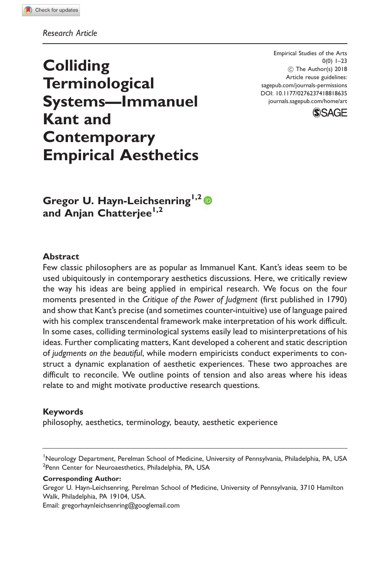Research Article

# **Colliding Terminological** Systems—Immanuel Kant and **Contemporary** Empirical Aesthetics

Empirical Studies of the Arts 0(0) 1–23  $\circledcirc$  The Author(s) 2018 Article reuse guidelines: [sagepub.com/journals-permissions](http://us.sagepub.com/en-us/journals-permissions) [DOI: 10.1177/0276237418818635](http://dx.doi.org/10.1177/0276237418818635) <journals.sagepub.com/home/art>



Gregor U. Hayn-Leichsenring<sup>1,2</sup> and Anjan Chatterjee<sup>1,2</sup>

#### **Abstract**

Few classic philosophers are as popular as Immanuel Kant. Kant's ideas seem to be used ubiquitously in contemporary aesthetics discussions. Here, we critically review the way his ideas are being applied in empirical research. We focus on the four moments presented in the Critique of the Power of Judgment (first published in 1790) and show that Kant's precise (and sometimes counter-intuitive) use of language paired with his complex transcendental framework make interpretation of his work difficult. In some cases, colliding terminological systems easily lead to misinterpretations of his ideas. Further complicating matters, Kant developed a coherent and static description of judgments on the beautiful, while modern empiricists conduct experiments to construct a dynamic explanation of aesthetic experiences. These two approaches are difficult to reconcile. We outline points of tension and also areas where his ideas relate to and might motivate productive research questions.

## Keywords

philosophy, aesthetics, terminology, beauty, aesthetic experience

<sup>1</sup>Neurology Department, Perelman School of Medicine, University of Pennsylvania, Philadelphia, PA, USA <sup>2</sup> Penn Center for Neuroaesthetics, Philadelphia, PA, USA

Corresponding Author:

Gregor U. Hayn-Leichsenring, Perelman School of Medicine, University of Pennsylvania, 3710 Hamilton Walk, Philadelphia, PA 19104, USA.

Email: [gregorhaynleichsenring@googlemail.com](mailto:gregorhaynleichsenring@googlemail.com)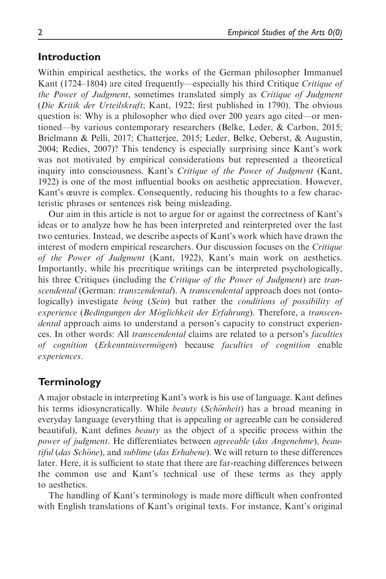## Introduction

Within empirical aesthetics, the works of the German philosopher Immanuel Kant (1724–1804) are cited frequently—especially his third Critique Critique of the Power of Judgment, sometimes translated simply as Critique of Judgment (Die Kritik der Urteilskraft; Kant, 1922; first published in 1790). The obvious question is: Why is a philosopher who died over 200 years ago cited—or mentioned—by various contemporary researchers (Belke, Leder, & Carbon, 2015; Brielmann & Pelli, 2017; Chatterjee, 2015; Leder, Belke, Oeberst, & Augustin, 2004; Redies, 2007)? This tendency is especially surprising since Kant's work was not motivated by empirical considerations but represented a theoretical inquiry into consciousness. Kant's Critique of the Power of Judgment (Kant, 1922) is one of the most influential books on aesthetic appreciation. However, Kant's œuvre is complex. Consequently, reducing his thoughts to a few characteristic phrases or sentences risk being misleading.

Our aim in this article is not to argue for or against the correctness of Kant's ideas or to analyze how he has been interpreted and reinterpreted over the last two centuries. Instead, we describe aspects of Kant's work which have drawn the interest of modern empirical researchers. Our discussion focuses on the *Critique* of the Power of Judgment (Kant, 1922), Kant's main work on aesthetics. Importantly, while his precritique writings can be interpreted psychologically, his three Critiques (including the Critique of the Power of Judgment) are transcendental (German: transzendental). A transcendental approach does not (ontologically) investigate *being* (Sein) but rather the *conditions of possibility of* experience (Bedingungen der Möglichkeit der Erfahrung). Therefore, a transcendental approach aims to understand a person's capacity to construct experiences. In other words: All transcendental claims are related to a person's faculties of cognition (Erkenntnisvermögen) because faculties of cognition enable experiences.

## **Terminology**

A major obstacle in interpreting Kant's work is his use of language. Kant defines his terms idiosyncratically. While *beauty* (Schönheit) has a broad meaning in everyday language (everything that is appealing or agreeable can be considered beautiful), Kant defines beauty as the object of a specific process within the power of judgment. He differentiates between agreeable (das Angenehme), beau $t$ *iful (das Schöne)*, and *sublime (das Erhabene)*. We will return to these differences later. Here, it is sufficient to state that there are far-reaching differences between the common use and Kant's technical use of these terms as they apply to aesthetics.

The handling of Kant's terminology is made more difficult when confronted with English translations of Kant's original texts. For instance, Kant's original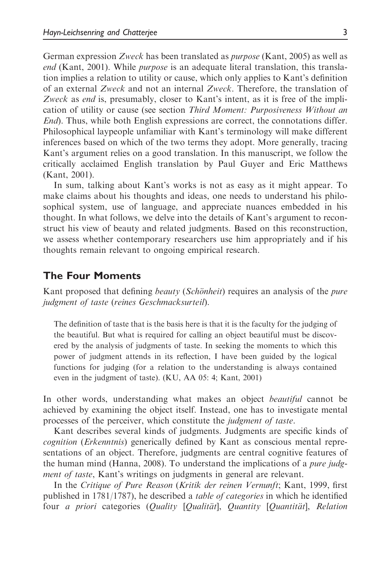German expression Zweck has been translated as purpose (Kant, 2005) as well as end (Kant, 2001). While *purpose* is an adequate literal translation, this translation implies a relation to utility or cause, which only applies to Kant's definition of an external Zweck and not an internal Zweck. Therefore, the translation of Zweck as end is, presumably, closer to Kant's intent, as it is free of the implication of utility or cause (see section Third Moment: Purposiveness Without an End). Thus, while both English expressions are correct, the connotations differ. Philosophical laypeople unfamiliar with Kant's terminology will make different inferences based on which of the two terms they adopt. More generally, tracing Kant's argument relies on a good translation. In this manuscript, we follow the critically acclaimed English translation by Paul Guyer and Eric Matthews (Kant, 2001).

In sum, talking about Kant's works is not as easy as it might appear. To make claims about his thoughts and ideas, one needs to understand his philosophical system, use of language, and appreciate nuances embedded in his thought. In what follows, we delve into the details of Kant's argument to reconstruct his view of beauty and related judgments. Based on this reconstruction, we assess whether contemporary researchers use him appropriately and if his thoughts remain relevant to ongoing empirical research.

## The Four Moments

Kant proposed that defining *beauty* (*Schönheit*) requires an analysis of the *pure* judgment of taste (reines Geschmacksurteil).

The definition of taste that is the basis here is that it is the faculty for the judging of the beautiful. But what is required for calling an object beautiful must be discovered by the analysis of judgments of taste. In seeking the moments to which this power of judgment attends in its reflection, I have been guided by the logical functions for judging (for a relation to the understanding is always contained even in the judgment of taste). (KU, AA 05: 4; Kant, 2001)

In other words, understanding what makes an object *beautiful* cannot be achieved by examining the object itself. Instead, one has to investigate mental processes of the perceiver, which constitute the judgment of taste.

Kant describes several kinds of judgments. Judgments are specific kinds of cognition (Erkenntnis) generically defined by Kant as conscious mental representations of an object. Therefore, judgments are central cognitive features of the human mind (Hanna, 2008). To understand the implications of a *pure judg*ment of taste, Kant's writings on judgments in general are relevant.

In the Critique of Pure Reason (Kritik der reinen Vernunft; Kant, 1999, first published in 1781/1787), he described a table of categories in which he identified four a priori categories (Quality [Qualität], Quantity [Quantität], Relation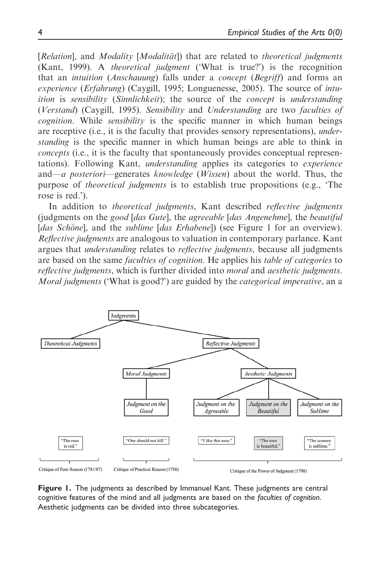[Relation], and Modality [Modalität]) that are related to theoretical judgments (Kant, 1999). A theoretical judgment ('What is true?') is the recognition that an intuition (Anschauung) falls under a concept (Begriff) and forms an experience (Erfahrung) (Caygill, 1995; Longuenesse, 2005). The source of intuition is sensibility (Sinnlichkeit); the source of the *concept* is understanding (Verstand) (Caygill, 1995). Sensibility and Understanding are two faculties of cognition. While *sensibility* is the specific manner in which human beings are receptive (i.e., it is the faculty that provides sensory representations), understanding is the specific manner in which human beings are able to think in concepts (i.e., it is the faculty that spontaneously provides conceptual representations). Following Kant, *understanding* applies its categories to *experience* and—a posteriori—generates knowledge (Wissen) about the world. Thus, the purpose of theoretical judgments is to establish true propositions (e.g., 'The rose is red.').

In addition to *theoretical judgments*, Kant described *reflective judgments* (judgments on the good [das Gute], the agreeable [das Angenehme], the beautiful [das Schöne], and the *sublime* [das Erhabene]) (see Figure 1 for an overview). Reflective judgments are analogous to valuation in contemporary parlance. Kant argues that understanding relates to reflective judgments, because all judgments are based on the same faculties of cognition. He applies his table of categories to reflective judgments, which is further divided into moral and aesthetic judgments. Moral judgments ('What is good?') are guided by the *categorical imperative*, an a



Figure 1. The judgments as described by Immanuel Kant. These judgments are central cognitive features of the mind and all judgments are based on the faculties of cognition. Aesthetic judgments can be divided into three subcategories.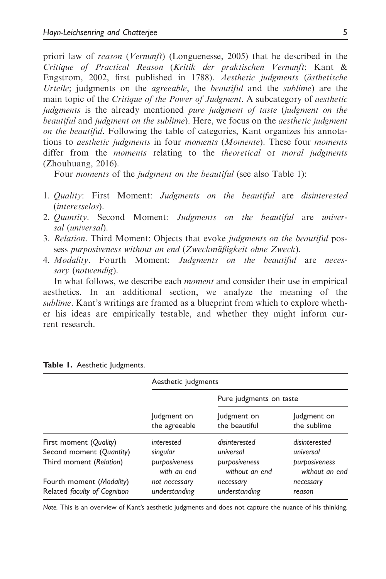priori law of reason (Vernunft) (Longuenesse, 2005) that he described in the Critique of Practical Reason (Kritik der praktischen Vernunft; Kant & Engstrom, 2002, first published in 1788). Aesthetic judgments (ästhetische Urteile; judgments on the *agreeable*, the *beautiful* and the *sublime*) are the main topic of the Critique of the Power of Judgment. A subcategory of aesthetic judgments is the already mentioned pure judgment of taste (judgment on the beautiful and judgment on the sublime). Here, we focus on the aesthetic judgment on the beautiful. Following the table of categories, Kant organizes his annotations to aesthetic judgments in four moments (Momente). These four moments differ from the *moments* relating to the *theoretical* or *moral judgments* (Zhouhuang, 2016).

Four *moments* of the *judgment on the beautiful* (see also Table 1):

- 1. Quality: First Moment: Judgments on the beautiful are disinterested (interesselos).
- 2. Quantity. Second Moment: Judgments on the beautiful are universal (universal).
- 3. Relation. Third Moment: Objects that evoke judgments on the beautiful possess purposiveness without an end  $(Zweckm\ddot{a})$  given the Zweck.
- 4. Modality. Fourth Moment: Judgments on the beautiful are necessary (notwendig).

In what follows, we describe each moment and consider their use in empirical aesthetics. In an additional section, we analyze the meaning of the sublime. Kant's writings are framed as a blueprint from which to explore whether his ideas are empirically testable, and whether they might inform current research.

|                                                                               | Aesthetic judgments                                    |                                                               |                                                               |
|-------------------------------------------------------------------------------|--------------------------------------------------------|---------------------------------------------------------------|---------------------------------------------------------------|
|                                                                               | Judgment on<br>the agreeable                           | Pure judgments on taste                                       |                                                               |
|                                                                               |                                                        | Judgment on<br>the beautiful                                  | Judgment on<br>the sublime                                    |
| First moment (Quality)<br>Second moment (Quantity)<br>Third moment (Relation) | interested<br>singular<br>purposiveness<br>with an end | disinterested<br>universal<br>purposiveness<br>without an end | disinterested<br>universal<br>purposiveness<br>without an end |
| Fourth moment (Modality)<br>Related faculty of Cognition                      | not necessary<br>understanding                         | necessary<br>understanding                                    | necessary<br>reason                                           |

Table 1. Aesthetic Judgments.

Note. This is an overview of Kant's aesthetic judgments and does not capture the nuance of his thinking.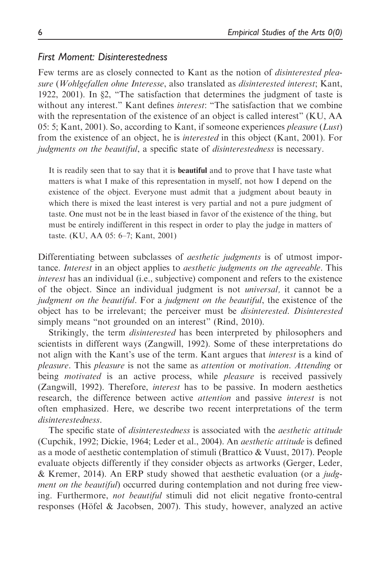## First Moment: Disinterestedness

Few terms are as closely connected to Kant as the notion of *disinterested plea*sure (Wohlgefallen ohne Interesse, also translated as disinterested interest; Kant, 1922, 2001). In §2, "The satisfaction that determines the judgment of taste is without any interest." Kant defines *interest*: "The satisfaction that we combine with the representation of the existence of an object is called interest" (KU, AA 05: 5; Kant, 2001). So, according to Kant, if someone experiences *pleasure* (*Lust*) from the existence of an object, he is interested in this object (Kant, 2001). For judgments on the beautiful, a specific state of disinterestedness is necessary.

It is readily seen that to say that it is **beautiful** and to prove that I have taste what matters is what I make of this representation in myself, not how I depend on the existence of the object. Everyone must admit that a judgment about beauty in which there is mixed the least interest is very partial and not a pure judgment of taste. One must not be in the least biased in favor of the existence of the thing, but must be entirely indifferent in this respect in order to play the judge in matters of taste. (KU, AA 05: 6–7; Kant, 2001)

Differentiating between subclasses of *aesthetic judgments* is of utmost importance. *Interest* in an object applies to *aesthetic judgments on the agreeable*. This interest has an individual (i.e., subjective) component and refers to the existence of the object. Since an individual judgment is not universal, it cannot be a judgment on the beautiful. For a judgment on the beautiful, the existence of the object has to be irrelevant; the perceiver must be disinterested. Disinterested simply means "not grounded on an interest" (Rind, 2010).

Strikingly, the term *disinterested* has been interpreted by philosophers and scientists in different ways (Zangwill, 1992). Some of these interpretations do not align with the Kant's use of the term. Kant argues that interest is a kind of pleasure. This pleasure is not the same as attention or motivation. Attending or being *motivated* is an active process, while *pleasure* is received passively (Zangwill, 1992). Therefore, interest has to be passive. In modern aesthetics research, the difference between active attention and passive interest is not often emphasized. Here, we describe two recent interpretations of the term disinterestedness.

The specific state of *disinterestedness* is associated with the *aesthetic attitude* (Cupchik, 1992; Dickie, 1964; Leder et al., 2004). An aesthetic attitude is defined as a mode of aesthetic contemplation of stimuli (Brattico & Vuust, 2017). People evaluate objects differently if they consider objects as artworks (Gerger, Leder, & Kremer, 2014). An ERP study showed that aesthetic evaluation (or a judgment on the beautiful) occurred during contemplation and not during free viewing. Furthermore, not beautiful stimuli did not elicit negative fronto-central responses (Höfel & Jacobsen, 2007). This study, however, analyzed an active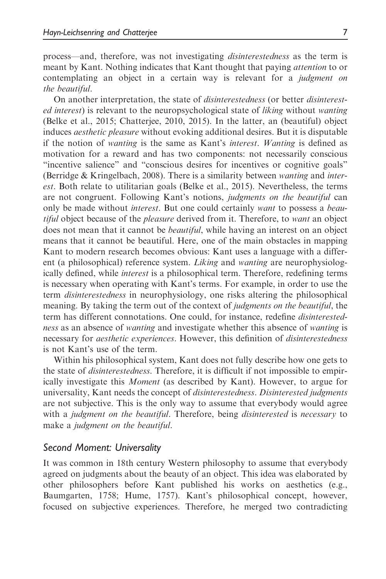process—and, therefore, was not investigating disinterestedness as the term is meant by Kant. Nothing indicates that Kant thought that paying *attention* to or contemplating an object in a certain way is relevant for a judgment on the beautiful.

On another interpretation, the state of disinterestedness (or better disinterested interest) is relevant to the neuropsychological state of liking without wanting (Belke et al., 2015; Chatterjee, 2010, 2015). In the latter, an (beautiful) object induces aesthetic pleasure without evoking additional desires. But it is disputable if the notion of wanting is the same as Kant's interest. Wanting is defined as motivation for a reward and has two components: not necessarily conscious "incentive salience" and "conscious desires for incentives or cognitive goals" (Berridge & Kringelbach, 2008). There is a similarity between wanting and interest. Both relate to utilitarian goals (Belke et al., 2015). Nevertheless, the terms are not congruent. Following Kant's notions, judgments on the beautiful can only be made without *interest*. But one could certainly *want* to possess a *beau*tiful object because of the pleasure derived from it. Therefore, to want an object does not mean that it cannot be beautiful, while having an interest on an object means that it cannot be beautiful. Here, one of the main obstacles in mapping Kant to modern research becomes obvious: Kant uses a language with a different (a philosophical) reference system. Liking and wanting are neurophysiologically defined, while *interest* is a philosophical term. Therefore, redefining terms is necessary when operating with Kant's terms. For example, in order to use the term disinterestedness in neurophysiology, one risks altering the philosophical meaning. By taking the term out of the context of *judgments on the beautiful*, the term has different connotations. One could, for instance, redefine disinterestedness as an absence of wanting and investigate whether this absence of wanting is necessary for *aesthetic experiences*. However, this definition of *disinterestedness* is not Kant's use of the term.

Within his philosophical system, Kant does not fully describe how one gets to the state of disinterestedness. Therefore, it is difficult if not impossible to empirically investigate this Moment (as described by Kant). However, to argue for universality, Kant needs the concept of *disinterestedness*. Disinterested judgments are not subjective. This is the only way to assume that everybody would agree with a *judgment on the beautiful*. Therefore, being *disinterested* is *necessary* to make a *judgment on the beautiful*.

## Second Moment: Universality

It was common in 18th century Western philosophy to assume that everybody agreed on judgments about the beauty of an object. This idea was elaborated by other philosophers before Kant published his works on aesthetics (e.g., Baumgarten, 1758; Hume, 1757). Kant's philosophical concept, however, focused on subjective experiences. Therefore, he merged two contradicting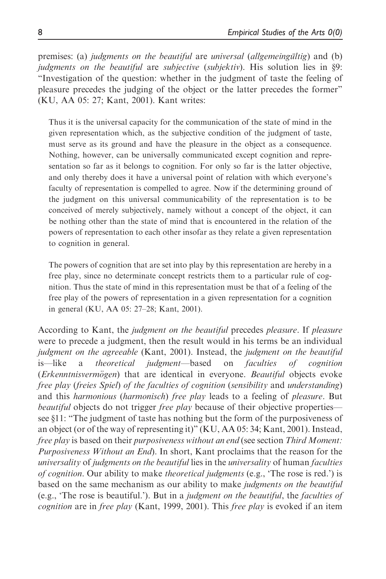premises: (a) *judgments on the beautiful* are *universal (allgemeingultig)* and (b) judgments on the beautiful are *subjective* (*subjektiv*). His solution lies in §9: "Investigation of the question: whether in the judgment of taste the feeling of pleasure precedes the judging of the object or the latter precedes the former" (KU, AA 05: 27; Kant, 2001). Kant writes:

Thus it is the universal capacity for the communication of the state of mind in the given representation which, as the subjective condition of the judgment of taste, must serve as its ground and have the pleasure in the object as a consequence. Nothing, however, can be universally communicated except cognition and representation so far as it belongs to cognition. For only so far is the latter objective, and only thereby does it have a universal point of relation with which everyone's faculty of representation is compelled to agree. Now if the determining ground of the judgment on this universal communicability of the representation is to be conceived of merely subjectively, namely without a concept of the object, it can be nothing other than the state of mind that is encountered in the relation of the powers of representation to each other insofar as they relate a given representation to cognition in general.

The powers of cognition that are set into play by this representation are hereby in a free play, since no determinate concept restricts them to a particular rule of cognition. Thus the state of mind in this representation must be that of a feeling of the free play of the powers of representation in a given representation for a cognition in general (KU, AA 05: 27–28; Kant, 2001).

According to Kant, the judgment on the beautiful precedes pleasure. If pleasure were to precede a judgment, then the result would in his terms be an individual judgment on the agreeable (Kant, 2001). Instead, the judgment on the beautiful is—like a theoretical judgment—based on faculties of cognition (*Erkenntnisvermögen*) that are identical in everyone. *Beautiful* objects evoke free play (freies Spiel) of the faculties of cognition (sensibility and understanding) and this harmonious (harmonisch) free play leads to a feeling of pleasure. But beautiful objects do not trigger *free play* because of their objective properties see §11: "The judgment of taste has nothing but the form of the purposiveness of an object (or of the way of representing it)" (KU, AA 05: 34; Kant, 2001). Instead, free play is based on their purposiveness without an end (see section Third Moment: Purposiveness Without an End). In short, Kant proclaims that the reason for the universality of judgments on the beautiful lies in the universality of human faculties of cognition. Our ability to make theoretical judgments (e.g., 'The rose is red.') is based on the same mechanism as our ability to make *judgments on the beautiful* (e.g., 'The rose is beautiful.'). But in a judgment on the beautiful, the faculties of cognition are in free play (Kant, 1999, 2001). This free play is evoked if an item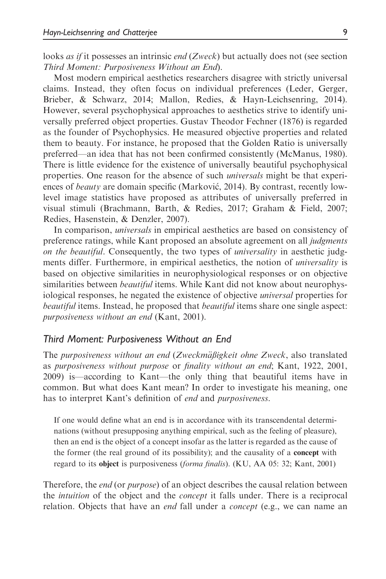looks *as if* it possesses an intrinsic *end* (Zweck) but actually does not (see section Third Moment: Purposiveness Without an End).

Most modern empirical aesthetics researchers disagree with strictly universal claims. Instead, they often focus on individual preferences (Leder, Gerger, Brieber, & Schwarz, 2014; Mallon, Redies, & Hayn-Leichsenring, 2014). However, several psychophysical approaches to aesthetics strive to identify universally preferred object properties. Gustav Theodor Fechner (1876) is regarded as the founder of Psychophysics. He measured objective properties and related them to beauty. For instance, he proposed that the Golden Ratio is universally preferred—an idea that has not been confirmed consistently (McManus, 1980). There is little evidence for the existence of universally beautiful psychophysical properties. One reason for the absence of such universals might be that experiences of *beauty* are domain specific (Marković, 2014). By contrast, recently lowlevel image statistics have proposed as attributes of universally preferred in visual stimuli (Brachmann, Barth, & Redies, 2017; Graham & Field, 2007; Redies, Hasenstein, & Denzler, 2007).

In comparison, *universals* in empirical aesthetics are based on consistency of preference ratings, while Kant proposed an absolute agreement on all judgments on the beautiful. Consequently, the two types of universality in aesthetic judgments differ. Furthermore, in empirical aesthetics, the notion of *universality* is based on objective similarities in neurophysiological responses or on objective similarities between *beautiful* items. While Kant did not know about neurophysiological responses, he negated the existence of objective *universal* properties for beautiful items. Instead, he proposed that beautiful items share one single aspect: purposiveness without an end (Kant, 2001).

## Third Moment: Purposiveness Without an End

The purposiveness without an end (Zweckmäßigkeit ohne Zweck, also translated as purposiveness without purpose or finality without an end; Kant, 1922, 2001, 2009) is—according to Kant—the only thing that beautiful items have in common. But what does Kant mean? In order to investigate his meaning, one has to interpret Kant's definition of *end* and *purposiveness*.

If one would define what an end is in accordance with its transcendental determinations (without presupposing anything empirical, such as the feeling of pleasure), then an end is the object of a concept insofar as the latter is regarded as the cause of the former (the real ground of its possibility); and the causality of a concept with regard to its object is purposiveness (forma finalis). (KU, AA 05: 32; Kant, 2001)

Therefore, the *end* (or *purpose*) of an object describes the causal relation between the intuition of the object and the concept it falls under. There is a reciprocal relation. Objects that have an *end* fall under a *concept* (e.g., we can name an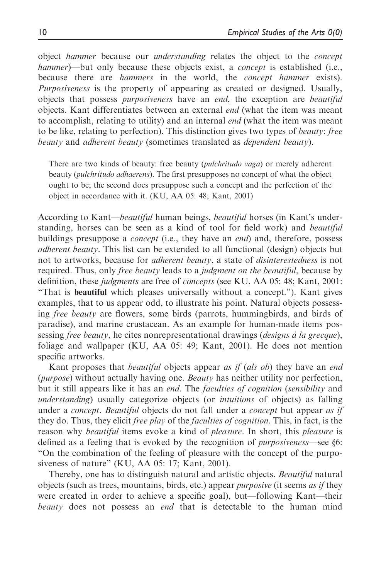object hammer because our understanding relates the object to the concept hammer)—but only because these objects exist, a *concept* is established (i.e., because there are *hammers* in the world, the *concept hammer* exists). Purposiveness is the property of appearing as created or designed. Usually, objects that possess purposiveness have an end, the exception are beautiful objects. Kant differentiates between an external end (what the item was meant to accomplish, relating to utility) and an internal *end* (what the item was meant to be like, relating to perfection). This distinction gives two types of beauty: free beauty and adherent beauty (sometimes translated as dependent beauty).

There are two kinds of beauty: free beauty (pulchritudo vaga) or merely adherent beauty (pulchritudo adhaerens). The first presupposes no concept of what the object ought to be; the second does presuppose such a concept and the perfection of the object in accordance with it. (KU, AA 05: 48; Kant, 2001)

According to Kant—*beautiful* human beings, *beautiful* horses (in Kant's understanding, horses can be seen as a kind of tool for field work) and beautiful buildings presuppose a *concept* (i.e., they have an *end*) and, therefore, possess adherent beauty. This list can be extended to all functional (design) objects but not to artworks, because for adherent beauty, a state of disinterestedness is not required. Thus, only *free beauty* leads to a *judgment on the beautiful*, because by definition, these judgments are free of concepts (see KU, AA 05: 48; Kant, 2001: "That is beautiful which pleases universally without a concept."). Kant gives examples, that to us appear odd, to illustrate his point. Natural objects possessing free beauty are flowers, some birds (parrots, hummingbirds, and birds of paradise), and marine crustacean. As an example for human-made items possessing free beauty, he cites nonrepresentational drawings (designs *á* la grecque), foliage and wallpaper (KU, AA 05: 49; Kant, 2001). He does not mention specific artworks.

Kant proposes that *beautiful* objects appear *as if* (*als ob*) they have an *end* (purpose) without actually having one. Beauty has neither utility nor perfection, but it still appears like it has an end. The faculties of cognition (sensibility and understanding) usually categorize objects (or *intuitions* of objects) as falling under a *concept. Beautiful* objects do not fall under a *concept* but appear as if they do. Thus, they elicit *free play* of the *faculties of cognition*. This, in fact, is the reason why *beautiful* items evoke a kind of *pleasure*. In short, this *pleasure* is defined as a feeling that is evoked by the recognition of *purposiveness*—see §6: "On the combination of the feeling of pleasure with the concept of the purposiveness of nature" (KU, AA 05: 17; Kant, 2001).

Thereby, one has to distinguish natural and artistic objects. Beautiful natural objects (such as trees, mountains, birds, etc.) appear purposive (it seems as if they were created in order to achieve a specific goal), but—following Kant—their beauty does not possess an end that is detectable to the human mind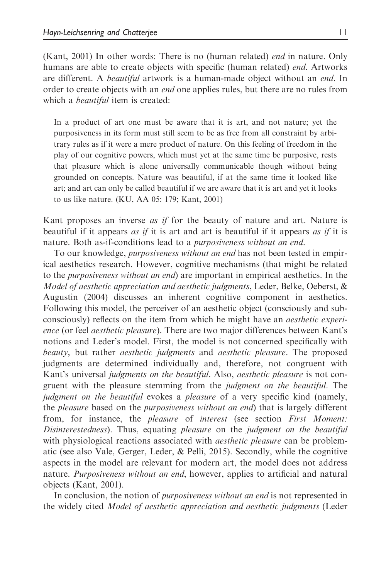(Kant, 2001) In other words: There is no (human related) end in nature. Only humans are able to create objects with specific (human related) *end*. Artworks are different. A *beautiful* artwork is a human-made object without an *end*. In order to create objects with an end one applies rules, but there are no rules from which a *beautiful* item is created:

In a product of art one must be aware that it is art, and not nature; yet the purposiveness in its form must still seem to be as free from all constraint by arbitrary rules as if it were a mere product of nature. On this feeling of freedom in the play of our cognitive powers, which must yet at the same time be purposive, rests that pleasure which is alone universally communicable though without being grounded on concepts. Nature was beautiful, if at the same time it looked like art; and art can only be called beautiful if we are aware that it is art and yet it looks to us like nature. (KU, AA 05: 179; Kant, 2001)

Kant proposes an inverse *as if* for the beauty of nature and art. Nature is beautiful if it appears *as if* it is art and art is beautiful if it appears *as if* it is nature. Both as-if-conditions lead to a purposiveness without an end.

To our knowledge, *purposiveness without an end* has not been tested in empirical aesthetics research. However, cognitive mechanisms (that might be related to the purposiveness without an end) are important in empirical aesthetics. In the Model of aesthetic appreciation and aesthetic judgments, Leder, Belke, Oeberst, & Augustin (2004) discusses an inherent cognitive component in aesthetics. Following this model, the perceiver of an aesthetic object (consciously and subconsciously) reflects on the item from which he might have an aesthetic experience (or feel aesthetic pleasure). There are two major differences between Kant's notions and Leder's model. First, the model is not concerned specifically with beauty, but rather *aesthetic judgments* and *aesthetic pleasure*. The proposed judgments are determined individually and, therefore, not congruent with Kant's universal *judgments on the beautiful*. Also, *aesthetic pleasure* is not congruent with the pleasure stemming from the judgment on the beautiful. The judgment on the beautiful evokes a pleasure of a very specific kind (namely, the *pleasure* based on the *purposiveness without an end*) that is largely different from, for instance, the pleasure of interest (see section First Moment: Disinterestedness). Thus, equating pleasure on the judgment on the beautiful with physiological reactions associated with *aesthetic pleasure* can be problematic (see also Vale, Gerger, Leder, & Pelli, 2015). Secondly, while the cognitive aspects in the model are relevant for modern art, the model does not address nature. Purposiveness without an end, however, applies to artificial and natural objects (Kant, 2001).

In conclusion, the notion of *purposiveness without an end* is not represented in the widely cited Model of aesthetic appreciation and aesthetic judgments (Leder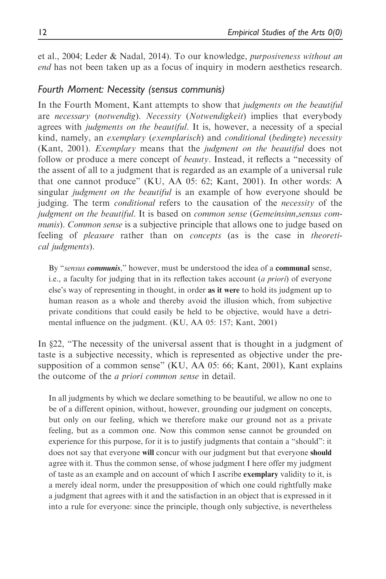et al., 2004; Leder & Nadal, 2014). To our knowledge, purposiveness without an end has not been taken up as a focus of inquiry in modern aesthetics research.

## Fourth Moment: Necessity (sensus communis)

In the Fourth Moment, Kant attempts to show that *judgments on the beautiful* are necessary (notwendig). Necessity (Notwendigkeit) implies that everybody agrees with *judgments on the beautiful*. It is, however, a necessity of a special kind, namely, an exemplary (exemplarisch) and conditional (bedingte) necessity (Kant, 2001). *Exemplary* means that the *judgment on the beautiful* does not follow or produce a mere concept of beauty. Instead, it reflects a "necessity of the assent of all to a judgment that is regarded as an example of a universal rule that one cannot produce" (KU, AA 05: 62; Kant, 2001). In other words: A singular *judgment on the beautiful* is an example of how everyone should be judging. The term conditional refers to the causation of the necessity of the judgment on the beautiful. It is based on common sense (Gemeinsinn, sensus com*munis*). *Common sense* is a subjective principle that allows one to judge based on feeling of pleasure rather than on concepts (as is the case in theoretical judgments).

By "sensus communis," however, must be understood the idea of a communal sense, i.e., a faculty for judging that in its reflection takes account (a priori) of everyone else's way of representing in thought, in order **as it were** to hold its judgment up to human reason as a whole and thereby avoid the illusion which, from subjective private conditions that could easily be held to be objective, would have a detrimental influence on the judgment. (KU, AA 05: 157; Kant, 2001)

In §22, "The necessity of the universal assent that is thought in a judgment of taste is a subjective necessity, which is represented as objective under the presupposition of a common sense" (KU, AA 05: 66; Kant, 2001), Kant explains the outcome of the a priori common sense in detail.

In all judgments by which we declare something to be beautiful, we allow no one to be of a different opinion, without, however, grounding our judgment on concepts, but only on our feeling, which we therefore make our ground not as a private feeling, but as a common one. Now this common sense cannot be grounded on experience for this purpose, for it is to justify judgments that contain a "should": it does not say that everyone will concur with our judgment but that everyone should agree with it. Thus the common sense, of whose judgment I here offer my judgment of taste as an example and on account of which I ascribe exemplary validity to it, is a merely ideal norm, under the presupposition of which one could rightfully make a judgment that agrees with it and the satisfaction in an object that is expressed in it into a rule for everyone: since the principle, though only subjective, is nevertheless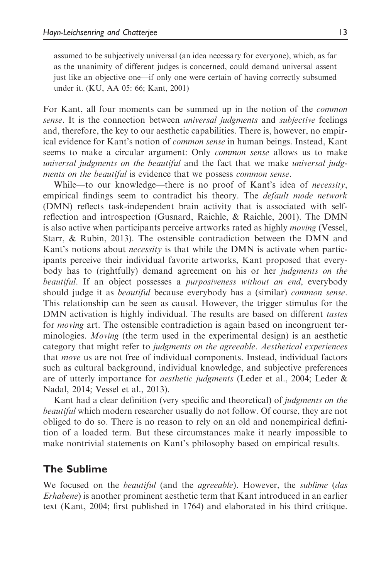assumed to be subjectively universal (an idea necessary for everyone), which, as far as the unanimity of different judges is concerned, could demand universal assent just like an objective one—if only one were certain of having correctly subsumed under it. (KU, AA 05: 66; Kant, 2001)

For Kant, all four moments can be summed up in the notion of the common sense. It is the connection between *universal judgments* and *subjective* feelings and, therefore, the key to our aesthetic capabilities. There is, however, no empirical evidence for Kant's notion of common sense in human beings. Instead, Kant seems to make a circular argument: Only common sense allows us to make universal judgments on the beautiful and the fact that we make universal judgments on the beautiful is evidence that we possess common sense.

While—to our knowledge—there is no proof of Kant's idea of *necessity*, empirical findings seem to contradict his theory. The default mode network (DMN) reflects task-independent brain activity that is associated with selfreflection and introspection (Gusnard, Raichle, & Raichle, 2001). The DMN is also active when participants perceive artworks rated as highly *moving* (Vessel, Starr, & Rubin, 2013). The ostensible contradiction between the DMN and Kant's notions about *necessity* is that while the DMN is activate when participants perceive their individual favorite artworks, Kant proposed that everybody has to (rightfully) demand agreement on his or her *judgments on the* beautiful. If an object possesses a purposiveness without an end, everybody should judge it as *beautiful* because everybody has a (similar) *common sense*. This relationship can be seen as causal. However, the trigger stimulus for the DMN activation is highly individual. The results are based on different *tastes* for *moving* art. The ostensible contradiction is again based on incongruent terminologies. Moving (the term used in the experimental design) is an aesthetic category that might refer to judgments on the agreeable. Aesthetical experiences that move us are not free of individual components. Instead, individual factors such as cultural background, individual knowledge, and subjective preferences are of utterly importance for aesthetic judgments (Leder et al., 2004; Leder & Nadal, 2014; Vessel et al., 2013).

Kant had a clear definition (very specific and theoretical) of *judgments on the* beautiful which modern researcher usually do not follow. Of course, they are not obliged to do so. There is no reason to rely on an old and nonempirical definition of a loaded term. But these circumstances make it nearly impossible to make nontrivial statements on Kant's philosophy based on empirical results.

## The Sublime

We focused on the *beautiful* (and the *agreeable*). However, the *sublime* (*das* Erhabene) is another prominent aesthetic term that Kant introduced in an earlier text (Kant, 2004; first published in 1764) and elaborated in his third critique.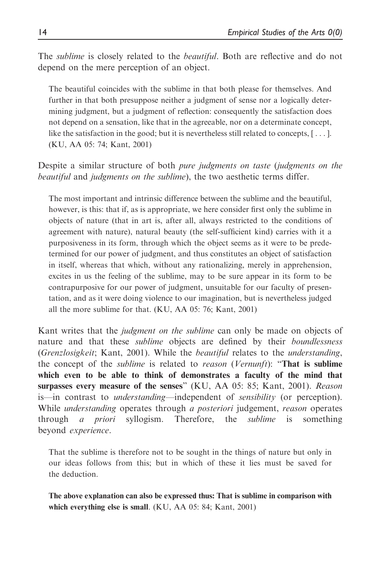The *sublime* is closely related to the *beautiful*. Both are reflective and do not depend on the mere perception of an object.

The beautiful coincides with the sublime in that both please for themselves. And further in that both presuppose neither a judgment of sense nor a logically determining judgment, but a judgment of reflection: consequently the satisfaction does not depend on a sensation, like that in the agreeable, nor on a determinate concept, like the satisfaction in the good; but it is nevertheless still related to concepts, [ . . . ]. (KU, AA 05: 74; Kant, 2001)

Despite a similar structure of both pure judgments on taste (judgments on the beautiful and judgments on the sublime), the two aesthetic terms differ.

The most important and intrinsic difference between the sublime and the beautiful, however, is this: that if, as is appropriate, we here consider first only the sublime in objects of nature (that in art is, after all, always restricted to the conditions of agreement with nature), natural beauty (the self-sufficient kind) carries with it a purposiveness in its form, through which the object seems as it were to be predetermined for our power of judgment, and thus constitutes an object of satisfaction in itself, whereas that which, without any rationalizing, merely in apprehension, excites in us the feeling of the sublime, may to be sure appear in its form to be contrapurposive for our power of judgment, unsuitable for our faculty of presentation, and as it were doing violence to our imagination, but is nevertheless judged all the more sublime for that. (KU, AA 05: 76; Kant, 2001)

Kant writes that the *judgment on the sublime* can only be made on objects of nature and that these *sublime* objects are defined by their *boundlessness* (Grenzlosigkeit; Kant, 2001). While the beautiful relates to the understanding, the concept of the *sublime* is related to *reason* (Vernunft): "That is sublime which even to be able to think of demonstrates a faculty of the mind that surpasses every measure of the senses" (KU, AA 05: 85; Kant, 2001). Reason is—in contrast to *understanding*—independent of *sensibility* (or perception). While *understanding* operates through *a posteriori* judgement, *reason* operates through a priori syllogism. Therefore, the sublime is something beyond experience.

That the sublime is therefore not to be sought in the things of nature but only in our ideas follows from this; but in which of these it lies must be saved for the deduction.

The above explanation can also be expressed thus: That is sublime in comparison with which everything else is small. (KU, AA 05: 84; Kant, 2001)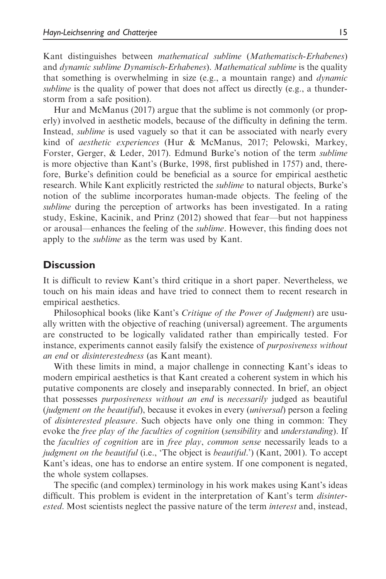Kant distinguishes between mathematical sublime (Mathematisch-Erhabenes) and dynamic sublime Dynamisch-Erhabenes). Mathematical sublime is the quality that something is overwhelming in size (e.g., a mountain range) and dynamic sublime is the quality of power that does not affect us directly (e.g., a thunderstorm from a safe position).

Hur and McManus (2017) argue that the sublime is not commonly (or properly) involved in aesthetic models, because of the difficulty in defining the term. Instead, sublime is used vaguely so that it can be associated with nearly every kind of aesthetic experiences (Hur & McManus, 2017; Pelowski, Markey, Forster, Gerger, & Leder, 2017). Edmund Burke's notion of the term sublime is more objective than Kant's (Burke, 1998, first published in 1757) and, therefore, Burke's definition could be beneficial as a source for empirical aesthetic research. While Kant explicitly restricted the *sublime* to natural objects, Burke's notion of the sublime incorporates human-made objects. The feeling of the sublime during the perception of artworks has been investigated. In a rating study, Eskine, Kacinik, and Prinz (2012) showed that fear—but not happiness or arousal—enhances the feeling of the sublime. However, this finding does not apply to the sublime as the term was used by Kant.

## **Discussion**

It is difficult to review Kant's third critique in a short paper. Nevertheless, we touch on his main ideas and have tried to connect them to recent research in empirical aesthetics.

Philosophical books (like Kant's Critique of the Power of Judgment) are usually written with the objective of reaching (universal) agreement. The arguments are constructed to be logically validated rather than empirically tested. For instance, experiments cannot easily falsify the existence of *purposiveness without* an end or disinterestedness (as Kant meant).

With these limits in mind, a major challenge in connecting Kant's ideas to modern empirical aesthetics is that Kant created a coherent system in which his putative components are closely and inseparably connected. In brief, an object that possesses purposiveness without an end is necessarily judged as beautiful (judgment on the beautiful), because it evokes in every (universal) person a feeling of disinterested pleasure. Such objects have only one thing in common: They evoke the *free play of the faculties of cognition* (*sensibility* and *understanding*). If the faculties of cognition are in free play, common sense necessarily leads to a judgment on the beautiful (i.e., 'The object is beautiful.') (Kant, 2001). To accept Kant's ideas, one has to endorse an entire system. If one component is negated, the whole system collapses.

The specific (and complex) terminology in his work makes using Kant's ideas difficult. This problem is evident in the interpretation of Kant's term disinterested. Most scientists neglect the passive nature of the term *interest* and, instead,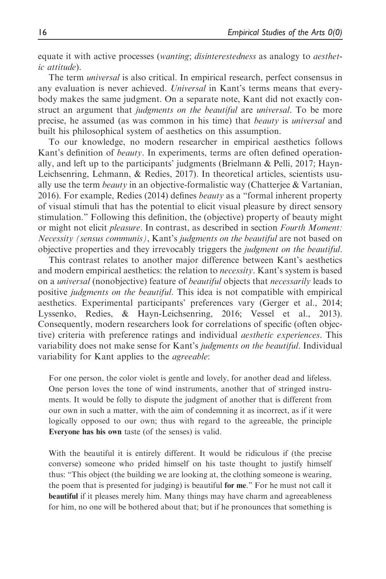equate it with active processes (*wanting*; *disinterestedness* as analogy to *aesthet*ic attitude).

The term *universal* is also critical. In empirical research, perfect consensus in any evaluation is never achieved. Universal in Kant's terms means that everybody makes the same judgment. On a separate note, Kant did not exactly construct an argument that *judgments on the beautiful* are *universal*. To be more precise, he assumed (as was common in his time) that beauty is universal and built his philosophical system of aesthetics on this assumption.

To our knowledge, no modern researcher in empirical aesthetics follows Kant's definition of *beauty*. In experiments, terms are often defined operationally, and left up to the participants' judgments (Brielmann & Pelli, 2017; Hayn-Leichsenring, Lehmann, & Redies, 2017). In theoretical articles, scientists usually use the term *beauty* in an objective-formalistic way (Chatterjee  $\&$  Vartanian, 2016). For example, Redies (2014) defines *beauty* as a "formal inherent property of visual stimuli that has the potential to elicit visual pleasure by direct sensory stimulation." Following this definition, the (objective) property of beauty might or might not elicit pleasure. In contrast, as described in section Fourth Moment: Necessity (sensus communis), Kant's judgments on the beautiful are not based on objective properties and they irrevocably triggers the judgment on the beautiful.

This contrast relates to another major difference between Kant's aesthetics and modern empirical aesthetics: the relation to necessity. Kant's system is based on a universal (nonobjective) feature of beautiful objects that necessarily leads to positive judgments on the beautiful. This idea is not compatible with empirical aesthetics. Experimental participants' preferences vary (Gerger et al., 2014; Lyssenko, Redies, & Hayn-Leichsenring, 2016; Vessel et al., 2013). Consequently, modern researchers look for correlations of specific (often objective) criteria with preference ratings and individual aesthetic experiences. This variability does not make sense for Kant's *judgments on the beautiful*. Individual variability for Kant applies to the agreeable:

For one person, the color violet is gentle and lovely, for another dead and lifeless. One person loves the tone of wind instruments, another that of stringed instruments. It would be folly to dispute the judgment of another that is different from our own in such a matter, with the aim of condemning it as incorrect, as if it were logically opposed to our own; thus with regard to the agreeable, the principle Everyone has his own taste (of the senses) is valid.

With the beautiful it is entirely different. It would be ridiculous if (the precise converse) someone who prided himself on his taste thought to justify himself thus: "This object (the building we are looking at, the clothing someone is wearing, the poem that is presented for judging) is beautiful for me." For he must not call it beautiful if it pleases merely him. Many things may have charm and agreeableness for him, no one will be bothered about that; but if he pronounces that something is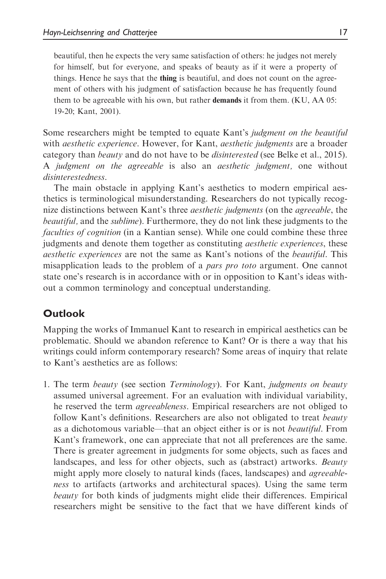beautiful, then he expects the very same satisfaction of others: he judges not merely for himself, but for everyone, and speaks of beauty as if it were a property of things. Hence he says that the thing is beautiful, and does not count on the agreement of others with his judgment of satisfaction because he has frequently found them to be agreeable with his own, but rather demands it from them. (KU, AA 05: 19-20; Kant, 2001).

Some researchers might be tempted to equate Kant's judgment on the beautiful with *aesthetic experience*. However, for Kant, *aesthetic judgments* are a broader category than beauty and do not have to be disinterested (see Belke et al., 2015). A judgment on the agreeable is also an aesthetic judgment, one without disinterestedness.

The main obstacle in applying Kant's aesthetics to modern empirical aesthetics is terminological misunderstanding. Researchers do not typically recognize distinctions between Kant's three *aesthetic judgments* (on the *agreeable*, the beautiful, and the sublime). Furthermore, they do not link these judgments to the faculties of cognition (in a Kantian sense). While one could combine these three judgments and denote them together as constituting *aesthetic experiences*, these aesthetic experiences are not the same as Kant's notions of the beautiful. This misapplication leads to the problem of a *pars pro toto* argument. One cannot state one's research is in accordance with or in opposition to Kant's ideas without a common terminology and conceptual understanding.

# **Outlook**

Mapping the works of Immanuel Kant to research in empirical aesthetics can be problematic. Should we abandon reference to Kant? Or is there a way that his writings could inform contemporary research? Some areas of inquiry that relate to Kant's aesthetics are as follows:

1. The term *beauty* (see section *Terminology*). For Kant, *judgments on beauty* assumed universal agreement. For an evaluation with individual variability, he reserved the term agreeableness. Empirical researchers are not obliged to follow Kant's definitions. Researchers are also not obligated to treat *beauty* as a dichotomous variable—that an object either is or is not beautiful. From Kant's framework, one can appreciate that not all preferences are the same. There is greater agreement in judgments for some objects, such as faces and landscapes, and less for other objects, such as (abstract) artworks. Beauty might apply more closely to natural kinds (faces, landscapes) and *agreeable*ness to artifacts (artworks and architectural spaces). Using the same term beauty for both kinds of judgments might elide their differences. Empirical researchers might be sensitive to the fact that we have different kinds of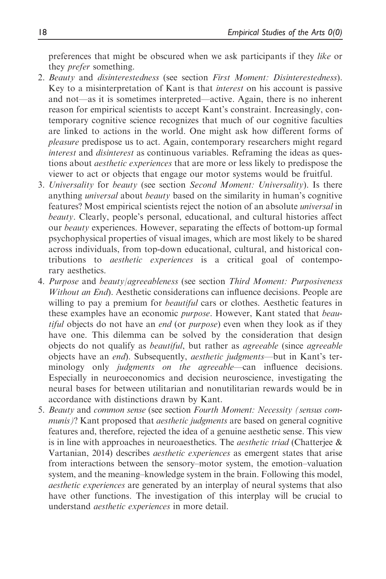preferences that might be obscured when we ask participants if they like or they prefer something.

- 2. Beauty and disinterestedness (see section First Moment: Disinterestedness). Key to a misinterpretation of Kant is that interest on his account is passive and not—as it is sometimes interpreted—active. Again, there is no inherent reason for empirical scientists to accept Kant's constraint. Increasingly, contemporary cognitive science recognizes that much of our cognitive faculties are linked to actions in the world. One might ask how different forms of pleasure predispose us to act. Again, contemporary researchers might regard interest and *disinterest* as continuous variables. Reframing the ideas as questions about *aesthetic experiences* that are more or less likely to predispose the viewer to act or objects that engage our motor systems would be fruitful.
- 3. Universality for beauty (see section Second Moment: Universality). Is there anything *universal* about *beauty* based on the similarity in human's cognitive features? Most empirical scientists reject the notion of an absolute universal in beauty. Clearly, people's personal, educational, and cultural histories affect our *beauty* experiences. However, separating the effects of bottom-up formal psychophysical properties of visual images, which are most likely to be shared across individuals, from top-down educational, cultural, and historical contributions to aesthetic experiences is a critical goal of contemporary aesthetics.
- 4. Purpose and beauty/agreeableness (see section Third Moment: Purposiveness Without an End). Aesthetic considerations can influence decisions. People are willing to pay a premium for *beautiful* cars or clothes. Aesthetic features in these examples have an economic *purpose*. However, Kant stated that *beau*tiful objects do not have an end (or purpose) even when they look as if they have one. This dilemma can be solved by the consideration that design objects do not qualify as *beautiful*, but rather as *agreeable* (since *agreeable* objects have an *end*). Subsequently, *aesthetic judgments*—but in Kant's terminology only *judgments on the agreeable*—can influence decisions. Especially in neuroeconomics and decision neuroscience, investigating the neural bases for between utilitarian and nonutilitarian rewards would be in accordance with distinctions drawn by Kant.
- 5. Beauty and common sense (see section Fourth Moment: Necessity (sensus communis)? Kant proposed that *aesthetic judgments* are based on general cognitive features and, therefore, rejected the idea of a genuine aesthetic sense. This view is in line with approaches in neuroaesthetics. The *aesthetic triad* (Chatterjee  $\&$ Vartanian, 2014) describes *aesthetic experiences* as emergent states that arise from interactions between the sensory–motor system, the emotion–valuation system, and the meaning–knowledge system in the brain. Following this model, aesthetic experiences are generated by an interplay of neural systems that also have other functions. The investigation of this interplay will be crucial to understand aesthetic experiences in more detail.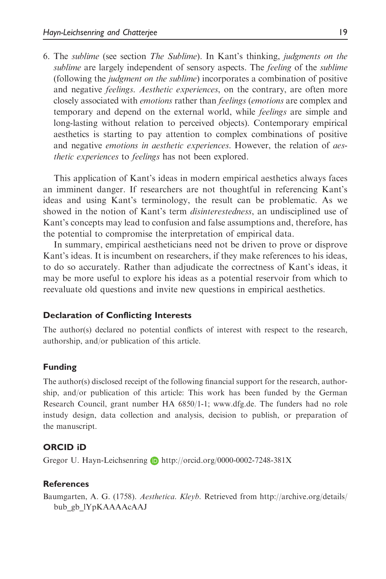6. The sublime (see section The Sublime). In Kant's thinking, judgments on the sublime are largely independent of sensory aspects. The feeling of the sublime (following the judgment on the sublime) incorporates a combination of positive and negative feelings. Aesthetic experiences, on the contrary, are often more closely associated with emotions rather than feelings (emotions are complex and temporary and depend on the external world, while feelings are simple and long-lasting without relation to perceived objects). Contemporary empirical aesthetics is starting to pay attention to complex combinations of positive and negative *emotions in aesthetic experiences*. However, the relation of *aes*thetic experiences to feelings has not been explored.

This application of Kant's ideas in modern empirical aesthetics always faces an imminent danger. If researchers are not thoughtful in referencing Kant's ideas and using Kant's terminology, the result can be problematic. As we showed in the notion of Kant's term *disinterestedness*, an undisciplined use of Kant's concepts may lead to confusion and false assumptions and, therefore, has the potential to compromise the interpretation of empirical data.

In summary, empirical aestheticians need not be driven to prove or disprove Kant's ideas. It is incumbent on researchers, if they make references to his ideas, to do so accurately. Rather than adjudicate the correctness of Kant's ideas, it may be more useful to explore his ideas as a potential reservoir from which to reevaluate old questions and invite new questions in empirical aesthetics.

#### Declaration of Conflicting Interests

The author(s) declared no potential conflicts of interest with respect to the research, authorship, and/or publication of this article.

#### Funding

The author(s) disclosed receipt of the following financial support for the research, authorship, and/or publication of this article: This work has been funded by the German Research Council, grant number HA 6850/1-1; www.dfg.de. The funders had no role instudy design, data collection and analysis, decision to publish, or preparation of the manuscript.

#### ORCID iD

Gregor U. Hayn-Leichsenring **b** <http://orcid.org/0000-0002-7248-381X>

#### **References**

Baumgarten, A. G. (1758). Aesthetica. Kleyb. Retrieved from [http://archive.org/details/](http://archive.org/details/bub_gb_lYpKAAAAcAAJ) [bub\\_gb\\_lYpKAAAAcAAJ](http://archive.org/details/bub_gb_lYpKAAAAcAAJ)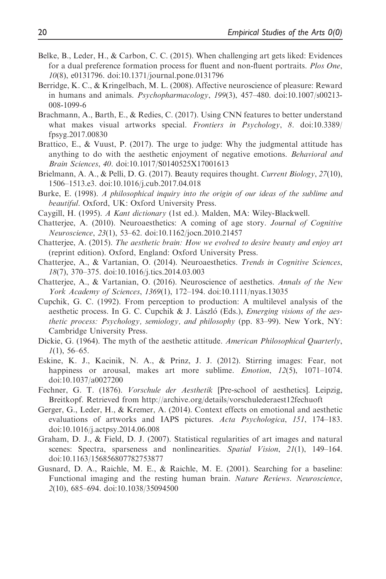- Belke, B., Leder, H., & Carbon, C. C. (2015). When challenging art gets liked: Evidences for a dual preference formation process for fluent and non-fluent portraits. Plos One, 10(8), e0131796. doi:10.1371/journal.pone.0131796
- Berridge, K. C., & Kringelbach, M. L. (2008). Affective neuroscience of pleasure: Reward in humans and animals. Psychopharmacology, 199(3), 457–480. doi:10.1007/s00213- 008-1099-6
- Brachmann, A., Barth, E., & Redies, C. (2017). Using CNN features to better understand what makes visual artworks special. *Frontiers in Psychology*, 8. doi:10.3389/ fpsyg.2017.00830
- Brattico, E., & Vuust, P. (2017). The urge to judge: Why the judgmental attitude has anything to do with the aesthetic enjoyment of negative emotions. Behavioral and Brain Sciences, 40. doi:10.1017/S0140525X17001613
- Brielmann, A. A., & Pelli, D. G. (2017). Beauty requires thought. Current Biology, 27(10), 1506–1513.e3. doi:10.1016/j.cub.2017.04.018
- Burke, E. (1998). A philosophical inquiry into the origin of our ideas of the sublime and beautiful. Oxford, UK: Oxford University Press.
- Caygill, H. (1995). A Kant dictionary (1st ed.). Malden, MA: Wiley-Blackwell.
- Chatterjee, A. (2010). Neuroaesthetics: A coming of age story. Journal of Cognitive Neuroscience, 23(1), 53–62. doi:10.1162/jocn.2010.21457
- Chatterjee, A. (2015). The aesthetic brain: How we evolved to desire beauty and enjoy art (reprint edition). Oxford, England: Oxford University Press.
- Chatterjee, A., & Vartanian, O. (2014). Neuroaesthetics. Trends in Cognitive Sciences, 18(7), 370–375. doi:10.1016/j.tics.2014.03.003
- Chatterjee, A., & Vartanian, O. (2016). Neuroscience of aesthetics. Annals of the New York Academy of Sciences, 1369(1), 172–194. doi:10.1111/nyas.13035
- Cupchik, G. C. (1992). From perception to production: A multilevel analysis of the aesthetic process. In G. C. Cupchik & J. László (Eds.), *Emerging visions of the aes*thetic process: Psychology, semiology, and philosophy (pp. 83–99). New York, NY: Cambridge University Press.
- Dickie, G. (1964). The myth of the aesthetic attitude. American Philosophical Quarterly,  $1(1), 56-65.$
- Eskine, K. J., Kacinik, N. A., & Prinz, J. J. (2012). Stirring images: Fear, not happiness or arousal, makes art more sublime. *Emotion*, 12(5), 1071–1074. doi:10.1037/a0027200
- Fechner, G. T. (1876). Vorschule der Aesthetik [Pre-school of aesthetics]. Leipzig, Breitkopf. Retrieved from<http://archive.org/details/vorschulederaest12fechuoft>
- Gerger, G., Leder, H., & Kremer, A. (2014). Context effects on emotional and aesthetic evaluations of artworks and IAPS pictures. Acta Psychologica, 151, 174–183. doi:10.1016/j.actpsy.2014.06.008
- Graham, D. J., & Field, D. J. (2007). Statistical regularities of art images and natural scenes: Spectra, sparseness and nonlinearities. Spatial Vision, 21(1), 149–164. doi:10.1163/156856807782753877
- Gusnard, D. A., Raichle, M. E., & Raichle, M. E. (2001). Searching for a baseline: Functional imaging and the resting human brain. Nature Reviews. Neuroscience, 2(10), 685–694. doi:10.1038/35094500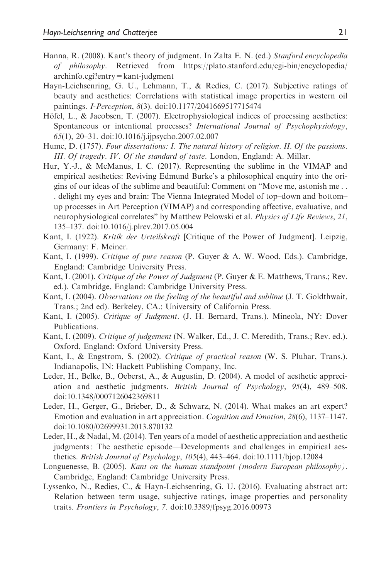- Hanna, R. (2008). Kant's theory of judgment. In Zalta E. N. (ed.) Stanford encyclopedia of philosophy. Retrieved from [https://plato.stanford.edu/cgi-bin/encyclopedia/](https://plato.stanford.edu/cgi-bin/encyclopedia/archinfo.cgi?entry=kant-judgment) [archinfo.cgi?entry=kant-judgment](https://plato.stanford.edu/cgi-bin/encyclopedia/archinfo.cgi?entry=kant-judgment)
- Hayn-Leichsenring, G. U., Lehmann, T., & Redies, C. (2017). Subjective ratings of beauty and aesthetics: Correlations with statistical image properties in western oil paintings. I-Perception, 8(3). doi:10.1177/2041669517715474
- Höfel, L., & Jacobsen, T. (2007). Electrophysiological indices of processing aesthetics: Spontaneous or intentional processes? International Journal of Psychophysiology, 65(1), 20–31. doi:10.1016/j.ijpsycho.2007.02.007
- Hume, D. (1757). Four dissertations: I. The natural history of religion. II. Of the passions. III. Of tragedy. IV. Of the standard of taste. London, England: A. Millar.

Hur, Y.-J., & McManus, I. C. (2017). Representing the sublime in the VIMAP and empirical aesthetics: Reviving Edmund Burke's a philosophical enquiry into the origins of our ideas of the sublime and beautiful: Comment on "Move me, astonish me . . . delight my eyes and brain: The Vienna Integrated Model of top–down and bottom– up processes in Art Perception (VIMAP) and corresponding affective, evaluative, and neurophysiological correlates" by Matthew Pelowski et al. Physics of Life Reviews, 21, 135–137. doi:10.1016/j.plrev.2017.05.004

- Kant, I. (1922). Kritik der Urteilskraft [Critique of the Power of Judgment]. Leipzig, Germany: F. Meiner.
- Kant, I. (1999). Critique of pure reason (P. Guyer & A. W. Wood, Eds.). Cambridge, England: Cambridge University Press.
- Kant, I. (2001). Critique of the Power of Judgment (P. Guyer & E. Matthews, Trans.; Rev. ed.). Cambridge, England: Cambridge University Press.
- Kant, I. (2004). Observations on the feeling of the beautiful and sublime (J. T. Goldthwait, Trans.; 2nd ed). Berkeley, CA.: University of California Press.
- Kant, I. (2005). Critique of Judgment. (J. H. Bernard, Trans.). Mineola, NY: Dover Publications.
- Kant, I. (2009). Critique of judgement (N. Walker, Ed., J. C. Meredith, Trans.; Rev. ed.). Oxford, England: Oxford University Press.
- Kant, I., & Engstrom, S. (2002). Critique of practical reason (W. S. Pluhar, Trans.). Indianapolis, IN: Hackett Publishing Company, Inc.
- Leder, H., Belke, B., Oeberst, A., & Augustin, D. (2004). A model of aesthetic appreciation and aesthetic judgments. British Journal of Psychology, 95(4), 489–508. doi:10.1348/0007126042369811
- Leder, H., Gerger, G., Brieber, D., & Schwarz, N. (2014). What makes an art expert? Emotion and evaluation in art appreciation. Cognition and Emotion, 28(6), 1137–1147. doi:10.1080/02699931.2013.870132
- Leder, H., & Nadal, M. (2014). Ten years of a model of aesthetic appreciation and aesthetic judgments : The aesthetic episode—Developments and challenges in empirical aesthetics. British Journal of Psychology,  $105(4)$ , 443–464. doi:10.1111/bjop.12084
- Longuenesse, B. (2005). *Kant on the human standpoint (modern European philosophy)*. Cambridge, England: Cambridge University Press.
- Lyssenko, N., Redies, C., & Hayn-Leichsenring, G. U. (2016). Evaluating abstract art: Relation between term usage, subjective ratings, image properties and personality traits. Frontiers in Psychology, 7. doi:10.3389/fpsyg.2016.00973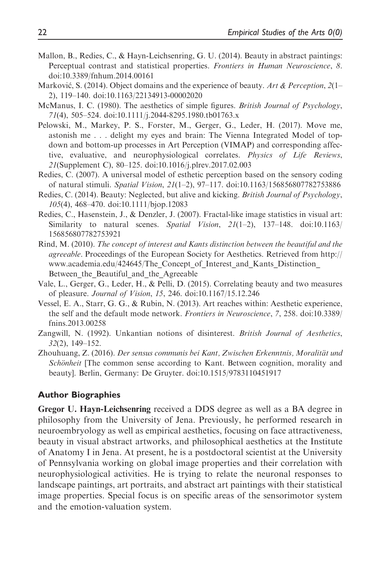- Mallon, B., Redies, C., & Hayn-Leichsenring, G. U. (2014). Beauty in abstract paintings: Perceptual contrast and statistical properties. Frontiers in Human Neuroscience, 8. doi:10.3389/fnhum.2014.00161
- Marković, S. (2014). Object domains and the experience of beauty. Art & Perception,  $2(1-\alpha)$ 2), 119–140. doi:10.1163/22134913-00002020
- McManus, I. C. (1980). The aesthetics of simple figures. British Journal of Psychology, 71(4), 505–524. doi:10.1111/j.2044-8295.1980.tb01763.x
- Pelowski, M., Markey, P. S., Forster, M., Gerger, G., Leder, H. (2017). Move me, astonish me... delight my eyes and brain: The Vienna Integrated Model of topdown and bottom-up processes in Art Perception (VIMAP) and corresponding affective, evaluative, and neurophysiological correlates. Physics of Life Reviews, 21(Supplement C), 80–125. doi:10.1016/j.plrev.2017.02.003
- Redies, C. (2007). A universal model of esthetic perception based on the sensory coding of natural stimuli. Spatial Vision, 21(1–2), 97–117. doi:10.1163/156856807782753886
- Redies, C. (2014). Beauty: Neglected, but alive and kicking. British Journal of Psychology, 105(4), 468–470. doi:10.1111/bjop.12083
- Redies, C., Hasenstein, J., & Denzler, J. (2007). Fractal-like image statistics in visual art: Similarity to natural scenes. Spatial Vision,  $2I(1-2)$ , 137-148. doi:10.1163/ 156856807782753921
- Rind, M. (2010). The concept of interest and Kants distinction between the beautiful and the agreeable. Proceedings of the European Society for Aesthetics. Retrieved from [http://](http://www.academia.edu/424645/The_Concept_of_Interest_and_Kants_Distinction_Between_the_Beautiful_and_the_Agreeable) [www.academia.edu/424645/The\\_Concept\\_of\\_Interest\\_and\\_Kants\\_Distinction\\_](http://www.academia.edu/424645/The_Concept_of_Interest_and_Kants_Distinction_Between_the_Beautiful_and_the_Agreeable) [Between\\_the\\_Beautiful\\_and\\_the\\_Agreeable](http://www.academia.edu/424645/The_Concept_of_Interest_and_Kants_Distinction_Between_the_Beautiful_and_the_Agreeable)
- Vale, L., Gerger, G., Leder, H., & Pelli, D. (2015). Correlating beauty and two measures of pleasure. Journal of Vision, 15, 246. doi:10.1167/15.12.246
- Vessel, E. A., Starr, G. G., & Rubin, N. (2013). Art reaches within: Aesthetic experience, the self and the default mode network. Frontiers in Neuroscience, 7, 258. doi:10.3389/ fnins.2013.00258
- Zangwill, N. (1992). Unkantian notions of disinterest. British Journal of Aesthetics, 32(2), 149–152.
- Zhouhuang, Z. (2016). Der sensus communis bei Kant, Zwischen Erkenntnis, Moralität und Schönheit [The common sense according to Kant. Between cognition, morality and beauty]. Berlin, Germany: De Gruyter. doi:10.1515/9783110451917

#### Author Biographies

Gregor U. Hayn-Leichsenring received a DDS degree as well as a BA degree in philosophy from the University of Jena. Previously, he performed research in neuroembryology as well as empirical aesthetics, focusing on face attractiveness, beauty in visual abstract artworks, and philosophical aesthetics at the Institute of Anatomy I in Jena. At present, he is a postdoctoral scientist at the University of Pennsylvania working on global image properties and their correlation with neurophysiological activities. He is trying to relate the neuronal responses to landscape paintings, art portraits, and abstract art paintings with their statistical image properties. Special focus is on specific areas of the sensorimotor system and the emotion-valuation system.